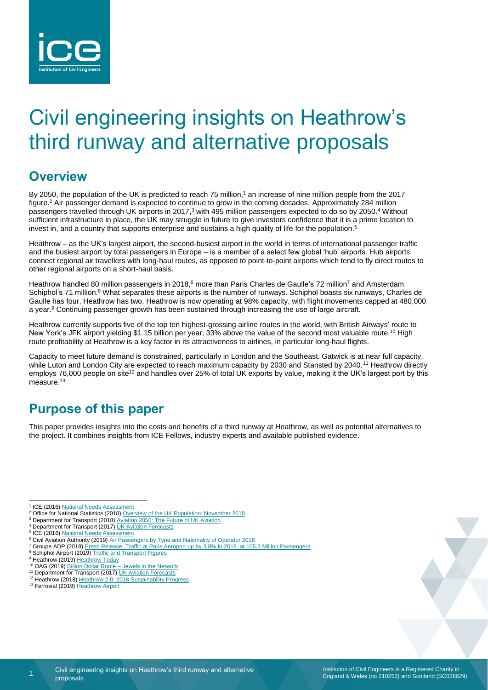

# Civil engineering insights on Heathrow's third runway and alternative proposals

## **Overview**

By 2050, the population of the UK is predicted to reach 75 million,<sup>1</sup> an increase of nine million people from the 2017 figure.<sup>2</sup> Air passenger demand is expected to continue to grow in the coming decades. Approximately 284 million passengers travelled through UK airports in 2017,<sup>3</sup> with 495 million passengers expected to do so by 2050.<sup>4</sup> Without sufficient infrastructure in place, the UK may struggle in future to give investors confidence that it is a prime location to invest in, and a country that supports enterprise and sustains a high quality of life for the population. 5

Heathrow – as the UK's largest airport, the second-busiest airport in the world in terms of international passenger traffic and the busiest airport by total passengers in Europe – is a member of a select few global 'hub' airports. Hub airports connect regional air travellers with long-haul routes, as opposed to point-to-point airports which tend to fly direct routes to other regional airports on a short-haul basis.

Heathrow handled 80 million passengers in 2018,<sup>6</sup> more than Paris Charles de Gaulle's 72 million<sup>7</sup> and Amsterdam Schiphol's 71 million.<sup>8</sup> What separates these airports is the number of runways. Schiphol boasts six runways, Charles de Gaulle has four, Heathrow has two. Heathrow is now operating at 98% capacity, with flight movements capped at 480,000 a year. <sup>9</sup> Continuing passenger growth has been sustained through increasing the use of large aircraft.

Heathrow currently supports five of the top ten highest-grossing airline routes in the world, with British Airways' route to New York's JFK airport yielding \$1.15 billion per year, 33% above the value of the second most valuable route.<sup>10</sup> High route profitability at Heathrow is a key factor in its attractiveness to airlines, in particular long-haul flights.

Capacity to meet future demand is constrained, particularly in London and the Southeast. Gatwick is at near full capacity, while Luton and London City are expected to reach maximum capacity by 2030 and Stansted by 2040.<sup>11</sup> Heathrow directly employs 76,000 people on site<sup>12</sup> and handles over 25% of total UK exports by value, making it the UK's largest port by this measure.<sup>13</sup>

## **Purpose of this paper**

This paper provides insights into the costs and benefits of a third runway at Heathrow, as well as potential alternatives to the project. It combines insights from ICE Fellows, industry experts and available published evidence.

- <sup>1</sup> ICE (2016[\) National Needs Assessment](https://www.ice.org.uk/getattachment/news-and-insight/policy/national-needs-assessment-a-vision-for-uk-infrastr/National-Needs-Assessment-PDF-(1).pdf.aspx#_ga=2.66441326.1196886251.1532086890-2039761902.1517910772)
- <sup>2</sup> Office for National Statistics (2018) [Overview of the UK Population: November 2018](https://www.ons.gov.uk/peoplepopulationandcommunity/populationandmigration/populationestimates/articles/overviewoftheukpopulation/november2018)
- <sup>3</sup> Department for Transport (2018) Aviation 2050: [The Future of UK Aviation](https://assets.publishing.service.gov.uk/government/uploads/system/uploads/attachment_data/file/769696/aviation-2050-print.pdf)
- <sup>4</sup> Department for Transport (2017[\) UK Aviation Forecasts](https://assets.publishing.service.gov.uk/government/uploads/system/uploads/attachment_data/file/781281/uk-aviation-forecasts-2017.pdf)
- 5 ICE (2016[\) National Needs Assessment](https://www.ice.org.uk/getattachment/news-and-insight/policy/national-needs-assessment-a-vision-for-uk-infrastr/National-Needs-Assessment-PDF-(1).pdf.aspx#_ga=2.66441326.1196886251.1532086890-2039761902.1517910772)
- <sup>6</sup> Civil Aviation Authority (2019[\) Air Passengers by Type and Nationality of Operator 2018](http://www.caa.co.uk/uploadedFiles/CAA/Content/Standard_Content/Data_and_analysis/Datasets/Airport_stats/Airport_data_2018_annual/Table_08_Air_Pax_by_Type_and_Nat_of_Op.pdf)
- <sup>7</sup> Groupe ADP (2018[\) Press Release: Traffic at Paris Aeroport up by 3.8% in 2018, at 105.3 Million Passengers](https://presse.groupeadp.fr/traffic-at-paris-aeroport-up-by-3-8-in-2018-at-105-3-million-passengers/)
- <sup>8</sup> Schiphol Airport (2019[\) Traffic and Transport Figures](https://www.schiphol.nl/en/schiphol-group/page/transport-and-traffic-statistics/)
- <sup>9</sup> Heathrow (2019) [Heathrow Today](https://www.heathrowexpansion.com/the-expansion-plan/facts-and-figures/)

1

l

- <sup>10</sup> OAG (2019) **Billion Dollar Route [Jewels in the Network](https://www.oag.com/blog/billion-dollar-route-jewels-in-the-network)**
- <sup>11</sup> Department for Transport (2017[\) UK Aviation Forecasts](https://assets.publishing.service.gov.uk/government/uploads/system/uploads/attachment_data/file/781281/uk-aviation-forecasts-2017.pdf) <sup>12</sup> Heathrow (2018[\) Heathrow 2.0: 2018 Sustainability Progress](https://www.heathrow.com/file_source/Company/Static/PDF/Communityandenvironment/HEA-2018-Report.PDF)
- <sup>13</sup> Ferrovial (2019) [Heathrow Airport](https://www.ferrovial.com/en/projects/heathrow-airport/)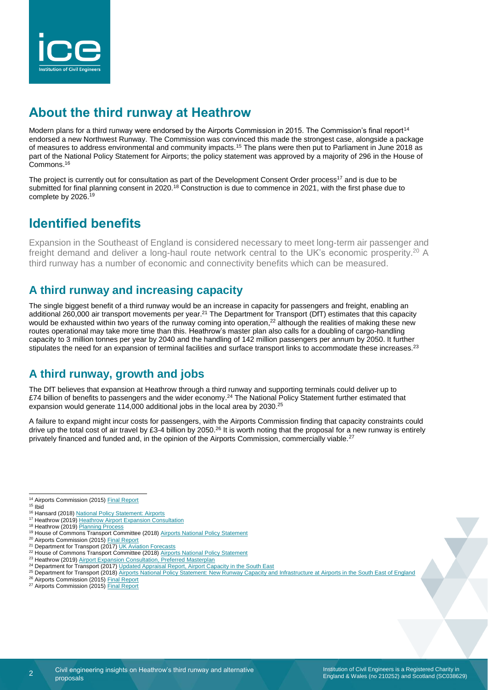

## **About the third runway at Heathrow**

Modern plans for a third runway were endorsed by the Airports Commission in 2015. The Commission's final report<sup>14</sup> endorsed a new Northwest Runway. The Commission was convinced this made the strongest case, alongside a package of measures to address environmental and community impacts.<sup>15</sup> The plans were then put to Parliament in June 2018 as part of the National Policy Statement for Airports; the policy statement was approved by a majority of 296 in the House of Commons. 16

The project is currently out for consultation as part of the Development Consent Order process<sup>17</sup> and is due to be submitted for final planning consent in 2020.<sup>18</sup> Construction is due to commence in 2021, with the first phase due to complete by 2026.<sup>19</sup>

## **Identified benefits**

Expansion in the Southeast of England is considered necessary to meet long-term air passenger and freight demand and deliver a long-haul route network central to the UK's economic prosperity.<sup>20</sup> A third runway has a number of economic and connectivity benefits which can be measured.

#### **A third runway and increasing capacity**

The single biggest benefit of a third runway would be an increase in capacity for passengers and freight, enabling an additional 260,000 air transport movements per year.<sup>21</sup> The Department for Transport (DfT) estimates that this capacity would be exhausted within two years of the runway coming into operation,<sup>22</sup> although the realities of making these new routes operational may take more time than this. Heathrow's master plan also calls for a doubling of cargo-handling capacity to 3 million tonnes per year by 2040 and the handling of 142 million passengers per annum by 2050. It further stipulates the need for an expansion of terminal facilities and surface transport links to accommodate these increases.<sup>23</sup>

### **A third runway, growth and jobs**

The DfT believes that expansion at Heathrow through a third runway and supporting terminals could deliver up to £74 billion of benefits to passengers and the wider economy.<sup>24</sup> The National Policy Statement further estimated that expansion would generate 114,000 additional jobs in the local area by 2030.<sup>25</sup>

A failure to expand might incur costs for passengers, with the Airports Commission finding that capacity constraints could drive up the total cost of air travel by £3-4 billion by 2050.<sup>26</sup> It is worth noting that the proposal for a new runway is entirely privately financed and funded and, in the opinion of the Airports Commission, commercially viable.<sup>27</sup>

l

2

<sup>26</sup> Airports Commission (2015) [Final Report](https://assets.publishing.service.gov.uk/government/uploads/system/uploads/attachment_data/file/440316/airports-commission-final-report.pdf) <sup>27</sup> Airports Commission (2015) [Final Report](https://assets.publishing.service.gov.uk/government/uploads/system/uploads/attachment_data/file/440316/airports-commission-final-report.pdf)

<sup>&</sup>lt;sup>14</sup> Airports Commission (2015) [Final Report](https://assets.publishing.service.gov.uk/government/uploads/system/uploads/attachment_data/file/440316/airports-commission-final-report.pdf)

<sup>15</sup> Ibid

<sup>&</sup>lt;sup>16</sup> Hansard (2018) [National Policy Statement: Airports](https://hansard.parliament.uk/Commons/2018-06-25/debates/C9B5DFC3-043B-4528-BEF1-34D9512E637D/NationalPolicyStatementAirports) <sup>17</sup> Heathrow (2019[\) Heathrow Airport Expansion Consultation](https://www.heathrowexpansion.com/local-community/consultations/)

<sup>&</sup>lt;sup>18</sup> Heathrow (2019) **Planning Process** 

<sup>19</sup> House of Commons Transport Committee (2018[\) Airports National Policy Statement](https://publications.parliament.uk/pa/cm201719/cmselect/cmtrans/548/548.pdf) <sup>20</sup> Airports Commission (2015) **Final Report** 

<sup>&</sup>lt;sup>21</sup> Department for Transport (2017) <u>UK Aviation Forecasts</u>

<sup>22</sup> House of Commons Transport Committee (2018[\) Airports National Policy Statement](https://publications.parliament.uk/pa/cm201719/cmselect/cmtrans/548/548.pdf)

<sup>&</sup>lt;sup>23</sup> Heathrow (2019[\) Airport Expansion Consultation, Preferred Masterplan](https://aec.heathrowconsultation.com/wp-content/uploads/sites/5/2019/06/Preferred-Masterplan-Hi-Res.pdf)

<sup>&</sup>lt;sup>24</sup> Department for Transport (2017[\) Updated Appraisal Report, Airport Capacity in the South East](https://assets.publishing.service.gov.uk/government/uploads/system/uploads/attachment_data/file/711589/addendum-to-the-updated-appraisal-report-airport-capacity-in-the-south-east.pdf)

<sup>&</sup>lt;sup>25</sup> Department for Transport (2018[\) Airports National Policy Statement: New Runway Capacity and Infrastructure at Airports in the South East of England](https://assets.publishing.service.gov.uk/government/uploads/system/uploads/attachment_data/file/714106/airports-nps-new-runway-capacity-and-infrastructure-at-airports-in-the-south-east-of-england-web-version.pdf)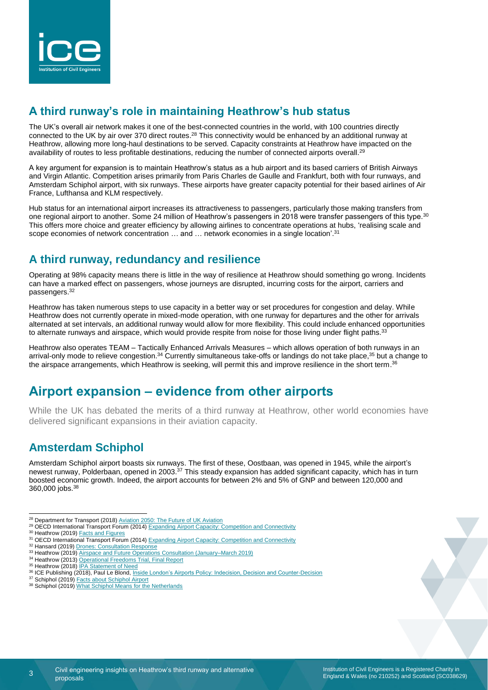

#### **A third runway's role in maintaining Heathrow's hub status**

The UK's overall air network makes it one of the best-connected countries in the world, with 100 countries directly connected to the UK by air over 370 direct routes.<sup>28</sup> This connectivity would be enhanced by an additional runway at Heathrow, allowing more long-haul destinations to be served. Capacity constraints at Heathrow have impacted on the availability of routes to less profitable destinations, reducing the number of connected airports overall.<sup>29</sup>

A key argument for expansion is to maintain Heathrow's status as a hub airport and its based carriers of British Airways and Virgin Atlantic. Competition arises primarily from Paris Charles de Gaulle and Frankfurt, both with four runways, and Amsterdam Schiphol airport, with six runways. These airports have greater capacity potential for their based airlines of Air France, Lufthansa and KLM respectively.

Hub status for an international airport increases its attractiveness to passengers, particularly those making transfers from one regional airport to another. Some 24 million of Heathrow's passengers in 2018 were transfer passengers of this type.<sup>30</sup> This offers more choice and greater efficiency by allowing airlines to concentrate operations at hubs, 'realising scale and scope economies of network concentration ... and ... network economies in a single location'.<sup>31</sup>

#### **A third runway, redundancy and resilience**

Operating at 98% capacity means there is little in the way of resilience at Heathrow should something go wrong. Incidents can have a marked effect on passengers, whose journeys are disrupted, incurring costs for the airport, carriers and passengers.<sup>32</sup>

Heathrow has taken numerous steps to use capacity in a better way or set procedures for congestion and delay. While Heathrow does not currently operate in mixed-mode operation, with one runway for departures and the other for arrivals alternated at set intervals, an additional runway would allow for more flexibility. This could include enhanced opportunities to alternate runways and airspace, which would provide respite from noise for those living under flight paths.<sup>33</sup>

Heathrow also operates TEAM – Tactically Enhanced Arrivals Measures – which allows operation of both runways in an arrival-only mode to relieve congestion.<sup>34</sup> Currently simultaneous take-offs or landings do not take place,<sup>35</sup> but a change to the airspace arrangements, which Heathrow is seeking, will permit this and improve resilience in the short term.<sup>36</sup>

## **Airport expansion – evidence from other airports**

While the UK has debated the merits of a third runway at Heathrow, other world economies have delivered significant expansions in their aviation capacity.

#### **Amsterdam Schiphol**

Amsterdam Schiphol airport boasts six runways. The first of these, Oostbaan, was opened in 1945, while the airport's newest runway, Polderbaan, opened in 2003.<sup>37</sup> This steady expansion has added significant capacity, which has in turn boosted economic growth. Indeed, the airport accounts for between 2% and 5% of GNP and between 120,000 and 360,000 jobs.<sup>38</sup>

- <sup>29</sup> OECD International Transport Forum (2014[\) Expanding Airport Capacity: Competition and Connectivity](https://www.itf-oecd.org/sites/default/files/docs/expanding-airport-capacity-competition-connectivity-gatwick-heathrow.pdf)
- <sup>30</sup> Heathrow (2019) **Facts and Figures**

3

l

- <sup>31</sup> OECD International Transport Forum (2014[\) Expanding Airport Capacity: Competition and Connectivity](https://www.itf-oecd.org/sites/default/files/docs/expanding-airport-capacity-competition-connectivity-gatwick-heathrow.pdf) <sup>32</sup> Hansard (2019) [Drones: Consultation Response](https://hansard.parliament.uk/Commons/2019-01-07/debates/04861AD2-460A-4AD2-841C-80554E7D6601/DronesConsultationResponse)
- <sup>33</sup> Heathrow (2019[\) Airspace and Future Operations Consultation \(January–March 2019\)](https://www.heathrow.com/file_source/HeathrowNoise/Static/Airspace_And_Future_Operations_Consultation_Briefing_08.02.2019.pdf)
- <sup>34</sup> Heathrow (2013[\) Operational Freedoms Trial, Final Report](https://www.heathrow.com/file_source/HeathrowNoise/Static/Operational-Freedoms-Final-Report-Heathrow.pdf)
- <sup>35</sup> Heathrow (2018) **IPA Statement of Need**
- <sup>36</sup> ICE Publishing (2018), Paul Le Blond, [Inside London's Airports Policy: Indecision, Decision and Counter-Decision](https://www.ice.org.uk/news-and-insight/the-civil-engineer/february-2019/inside-airports-policy)
- <sup>37</sup> Schiphol (2019[\) Facts about Schiphol Airport](https://www.schiphol.nl/en/you-and-schiphol/page/facts-about-airport/)
- 38 Schiphol (2019[\) What Schiphol Means for the Netherlands](https://www.schiphol.nl/en/you-and-schiphol/page/prosperity-and-well-being/)

<sup>&</sup>lt;sup>28</sup> Department for Transport (2018) Aviation 2050: [The Future of UK Aviation](https://assets.publishing.service.gov.uk/government/uploads/system/uploads/attachment_data/file/769696/aviation-2050-print.pdf)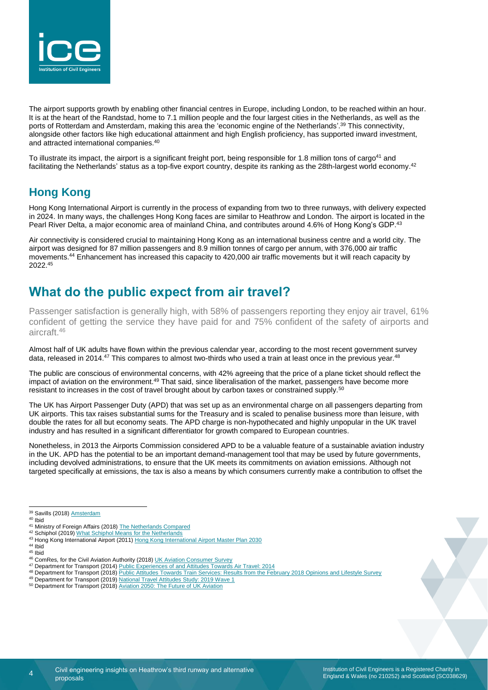

The airport supports growth by enabling other financial centres in Europe, including London, to be reached within an hour. It is at the heart of the Randstad, home to 7.1 million people and the four largest cities in the Netherlands, as well as the ports of Rotterdam and Amsterdam, making this area the 'economic engine of the Netherlands'.<sup>39</sup> This connectivity, alongside other factors like high educational attainment and high English proficiency, has supported inward investment, and attracted international companies.<sup>40</sup>

To illustrate its impact, the airport is a significant freight port, being responsible for 1.8 million tons of cargo<sup>41</sup> and facilitating the Netherlands' status as a top-five export country, despite its ranking as the 28th-largest world economy.<sup>42</sup>

#### **Hong Kong**

Hong Kong International Airport is currently in the process of expanding from two to three runways, with delivery expected in 2024. In many ways, the challenges Hong Kong faces are similar to Heathrow and London. The airport is located in the Pearl River Delta, a major economic area of mainland China, and contributes around 4.6% of Hong Kong's GDP.<sup>43</sup>

Air connectivity is considered crucial to maintaining Hong Kong as an international business centre and a world city. The airport was designed for 87 million passengers and 8.9 million tonnes of cargo per annum, with 376,000 air traffic movements.<sup>44</sup> Enhancement has increased this capacity to 420,000 air traffic movements but it will reach capacity by 2022.<sup>45</sup>

## **What do the public expect from air travel?**

Passenger satisfaction is generally high, with 58% of passengers reporting they enjoy air travel, 61% confident of getting the service they have paid for and 75% confident of the safety of airports and aircraft.<sup>46</sup>

Almost half of UK adults have flown within the previous calendar year, according to the most recent government survey data, released in 2014.<sup>47</sup> This compares to almost two-thirds who used a train at least once in the previous year.<sup>48</sup>

The public are conscious of environmental concerns, with 42% agreeing that the price of a plane ticket should reflect the impact of aviation on the environment.<sup>49</sup> That said, since liberalisation of the market, passengers have become more resistant to increases in the cost of travel brought about by carbon taxes or constrained supply.<sup>50</sup>

The UK has Airport Passenger Duty (APD) that was set up as an environmental charge on all passengers departing from UK airports. This tax raises substantial sums for the Treasury and is scaled to penalise business more than leisure, with double the rates for all but economy seats. The APD charge is non-hypothecated and highly unpopular in the UK travel industry and has resulted in a significant differentiator for growth compared to European countries.

Nonetheless, in 2013 the Airports Commission considered APD to be a valuable feature of a sustainable aviation industry in the UK. APD has the potential to be an important demand-management tool that may be used by future governments, including devolved administrations, to ensure that the UK meets its commitments on aviation emissions. Although not targeted specifically at emissions, the tax is also a means by which consumers currently make a contribution to offset the

l

 $\Delta$ 

<sup>&</sup>lt;sup>39</sup> Savills (2018) [Amsterdam](https://pdf.euro.savills.co.uk/the-netherlands/commercial---dutch-other/city-special-amsterdam-2018.pdf)

<sup>40</sup> Ibid

<sup>41</sup> Ministry of Foreign Affairs (2018) [The Netherlands Compared](https://investinholland.com/wp-content/uploads/2019/03/2182_CU_TheNetherlandsCompared_2018_clickable.pdf)

<sup>42</sup> Schiphol (2019[\) What Schiphol Means for the Netherlands](https://www.schiphol.nl/en/you-and-schiphol/page/prosperity-and-well-being/)

<sup>43</sup> Hong Kong International Airport (2011[\) Hong Kong International Airport Master Plan 2030](https://www.threerunwaysystem.com/media/1174/mp2030_full_en.pdf)

 $44$  Ibid  $45$  Ibid

<sup>46</sup> ComRes, for the Civil Aviation Authority (2018) [UK Aviation Consumer Survey](https://publicapps.caa.co.uk/docs/33/CAA%20Aviation%20Consumer%20survey%20--%205th%20wave%20report%20FINAL%20(2).pdf)

<sup>47</sup> Department for Transport (2014[\) Public Experiences of and Attitudes Towards Air Travel: 2014](https://assets.publishing.service.gov.uk/government/uploads/system/uploads/attachment_data/file/336702/experiences-of-attitudes-towards-air-travel.pdf)

<sup>48</sup> Department for Transport (2018[\) Public Attitudes Towards Train Services: Results from the February 2018 Opinions and Lifestyle Survey](https://assets.publishing.service.gov.uk/government/uploads/system/uploads/attachment_data/file/788424/public-attitudes-towards-train-services-feb-2018.pdf)

<sup>49</sup> Department for Transport (2019[\) National Travel Attitudes Study: 2019 Wave 1](https://assets.publishing.service.gov.uk/government/uploads/system/uploads/attachment_data/file/810908/national-travel-attitudes-study-2019-wave-1.pdf)

<sup>50</sup> Department for Transport (2018[\) Aviation 2050: The Future of UK Aviation](https://assets.publishing.service.gov.uk/government/uploads/system/uploads/attachment_data/file/769695/aviation-2050-web.pdf)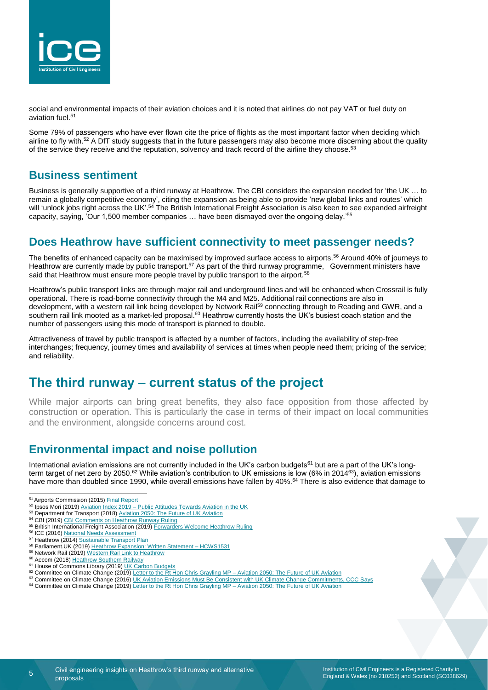

social and environmental impacts of their aviation choices and it is noted that airlines do not pay VAT or fuel duty on aviation fuel.<sup>51</sup>

Some 79% of passengers who have ever flown cite the price of flights as the most important factor when deciding which airline to fly with.<sup>52</sup> A DfT study suggests that in the future passengers may also become more discerning about the quality of the service they receive and the reputation, solvency and track record of the airline they choose.<sup>53</sup>

#### **Business sentiment**

Business is generally supportive of a third runway at Heathrow. The CBI considers the expansion needed for 'the UK … to remain a globally competitive economy', citing the expansion as being able to provide 'new global links and routes' which will 'unlock jobs right across the UK'.<sup>54</sup> The British International Freight Association is also keen to see expanded airfreight capacity, saying, 'Our 1,500 member companies ... have been dismayed over the ongoing delay.'<sup>55</sup>

#### **Does Heathrow have sufficient connectivity to meet passenger needs?**

The benefits of enhanced capacity can be maximised by improved surface access to airports.<sup>56</sup> Around 40% of journeys to Heathrow are currently made by public transport.<sup>57</sup> As part of the third runway programme, Government ministers have said that Heathrow must ensure more people travel by public transport to the airport.<sup>58</sup>

Heathrow's public transport links are through major rail and underground lines and will be enhanced when Crossrail is fully operational. There is road-borne connectivity through the M4 and M25. Additional rail connections are also in development, with a western rail link being developed by Network Rail<sup>59</sup> connecting through to Reading and GWR, and a southern rail link mooted as a market-led proposal.<sup>60</sup> Heathrow currently hosts the UK's busiest coach station and the number of passengers using this mode of transport is planned to double.

Attractiveness of travel by public transport is affected by a number of factors, including the availability of step-free interchanges; frequency, journey times and availability of services at times when people need them; pricing of the service; and reliability.

## **The third runway – current status of the project**

While major airports can bring great benefits, they also face opposition from those affected by construction or operation. This is particularly the case in terms of their impact on local communities and the environment, alongside concerns around cost.

#### **Environmental impact and noise pollution**

International aviation emissions are not currently included in the UK's carbon budgets $61$  but are a part of the UK's longterm target of net zero by 2050.<sup>62</sup> While aviation's contribution to UK emissions is low (6% in 2014<sup>63</sup>), aviation emissions have more than doubled since 1990, while overall emissions have fallen by 40%.<sup>64</sup> There is also evidence that damage to

<sup>56</sup> ICE (2016[\) National Needs Assessment](https://www.ice.org.uk/getattachment/news-and-insight/policy/national-needs-assessment-a-vision-for-uk-infrastr/National-Needs-Assessment-PDF-(1).pdf.aspx#_ga=2.66441326.1196886251.1532086890-2039761902.1517910772)

5

- <sup>57</sup> Heathrow (2014[\) Sustainable Transport Plan](https://www.heathrow.com/file_source/Company/Static/PDF/Heathrow_STP_inter.pdf)
- 58 Parliament.UK (2019[\) Heathrow Expansion: Written Statement –](https://www.parliament.uk/business/publications/written-questions-answers-statements/written-statement/Commons/2019-05-01/HCWS1531/) HCWS1531
- 59 Network Rail (2019[\) Western Rail Link to Heathrow](https://www.networkrail.co.uk/running-the-railway/our-routes/western/western-rail-link-to-heathrow/)
- 60 Aecom (2018) Heathrow [Southern Railway](https://heathrowrail.com/wp-content/uploads/2018/10/HSR_Brochure_Web.pdf)
- <sup>61</sup> House of Commons Library (2019[\) UK Carbon Budgets](http://researchbriefings.files.parliament.uk/documents/CBP-7555/CBP-7555.pdf) <sup>62</sup> Committee on Climate Change (2019[\) Letter to the Rt Hon Chris Grayling MP –](https://www.theccc.org.uk/wp-content/uploads/2019/02/Aviation-Letter-from-Lord-Deben-to-Chris-Grayling.pdf) Aviation 2050: The Future of UK Aviation
- 63 Committee on Climate Change (2016[\) UK Aviation Emissions Must Be Consistent with UK Climate Change Commitments, CCC Says](https://www.theccc.org.uk/2016/10/25/uk-aviation-emissions-must-be-consistent-with-uk-climate-change-commitments-ccc-says/)
- <sup>64</sup> Committee on Climate Change (2019[\) Letter to the Rt Hon Chris Grayling MP –](https://www.theccc.org.uk/wp-content/uploads/2019/02/Aviation-Letter-from-Lord-Deben-to-Chris-Grayling.pdf) Aviation 2050: The Future of UK Aviation

l 51 Airports Commission (2015[\) Final Report](https://assets.publishing.service.gov.uk/government/uploads/system/uploads/attachment_data/file/440316/airports-commission-final-report.pdf)

<sup>52</sup> Ipsos Mori (2019) Aviation Index 2019 – [Public Attitudes Towards Aviation in the UK](https://www.ipsos.com/ipsos-mori/en-uk/aviation-index-2019-public-attitudes-towards-aviation-uk)

<sup>53</sup> Department for Transport (2018[\) Aviation 2050: The Future of UK Aviation](https://assets.publishing.service.gov.uk/government/uploads/system/uploads/attachment_data/file/769695/aviation-2050-web.pdf)

<sup>54</sup> CBI (2019[\) CBI Comments on Heathrow Runway Ruling](https://www.cbi.org.uk/media-centre/articles/cbi-comments-on-heathrow-runway-ruling/)

<sup>55</sup> British International Freight Association (2019) [Forwarders Welcome Heathrow Ruling](https://www.bifa.org/news/articles/2019/may/forwarders-welcome-heathrow-ruling)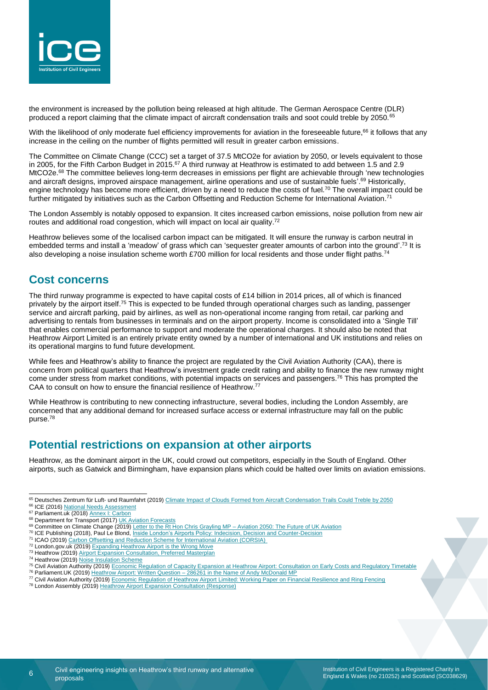

the environment is increased by the pollution being released at high altitude. The German Aerospace Centre (DLR) produced a report claiming that the climate impact of aircraft condensation trails and soot could treble by 2050.<sup>65</sup>

With the likelihood of only moderate fuel efficiency improvements for aviation in the foreseeable future,<sup>66</sup> it follows that any increase in the ceiling on the number of flights permitted will result in greater carbon emissions.

The Committee on Climate Change (CCC) set a target of 37.5 MtCO2e for aviation by 2050, or levels equivalent to those in 2005, for the Fifth Carbon Budget in 2015.<sup>67</sup> A third runway at Heathrow is estimated to add between 1.5 and 2.9 MtCO2e.<sup>68</sup> The committee believes long-term decreases in emissions per flight are achievable through 'new technologies and aircraft designs, improved airspace management, airline operations and use of sustainable fuels'.<sup>69</sup> Historically, engine technology has become more efficient, driven by a need to reduce the costs of fuel.<sup>70</sup> The overall impact could be further mitigated by initiatives such as the Carbon Offsetting and Reduction Scheme for International Aviation.<sup>71</sup>

The London Assembly is notably opposed to expansion. It cites increased carbon emissions, noise pollution from new air routes and additional road congestion, which will impact on local air quality.<sup>72</sup>

Heathrow believes some of the localised carbon impact can be mitigated. It will ensure the runway is carbon neutral in embedded terms and install a 'meadow' of grass which can 'sequester greater amounts of carbon into the ground'.<sup>73</sup> It is also developing a noise insulation scheme worth £700 million for local residents and those under flight paths.<sup>74</sup>

#### **Cost concerns**

The third runway programme is expected to have capital costs of £14 billion in 2014 prices, all of which is financed privately by the airport itself.<sup>75</sup> This is expected to be funded through operational charges such as landing, passenger service and aircraft parking, paid by airlines, as well as non-operational income ranging from retail, car parking and advertising to rentals from businesses in terminals and on the airport property. Income is consolidated into a 'Single Till' that enables commercial performance to support and moderate the operational charges. It should also be noted that Heathrow Airport Limited is an entirely private entity owned by a number of international and UK institutions and relies on its operational margins to fund future development.

While fees and Heathrow's ability to finance the project are regulated by the Civil Aviation Authority (CAA), there is concern from political quarters that Heathrow's investment grade credit rating and ability to finance the new runway might come under stress from market conditions, with potential impacts on services and passengers.<sup>76</sup> This has prompted the CAA to consult on how to ensure the financial resilience of Heathrow.<sup>77</sup>

While Heathrow is contributing to new connecting infrastructure, several bodies, including the London Assembly, are concerned that any additional demand for increased surface access or external infrastructure may fall on the public purse.<sup>78</sup>

#### **Potential restrictions on expansion at other airports**

Heathrow, as the dominant airport in the UK, could crowd out competitors, especially in the South of England. Other airports, such as Gatwick and Birmingham, have expansion plans which could be halted over limits on aviation emissions.

l <sup>65</sup> Deutsches Zentrum für Luft- und Raumfahrt (2019) [Climate Impact of Clouds Formed from Aircraft Condensation Trails Could Treble by 2050](https://www.dlr.de/content/en/articles/news/2019/02/20190627_climate-impact-of-clouds-formed-from-aircraft-condensation-trail.html)

<sup>66</sup> ICE (2016[\) National Needs Assessment](https://www.ice.org.uk/getattachment/news-and-insight/policy/national-needs-assessment-a-vision-for-uk-infrastr/National-Needs-Assessment-PDF-(1).pdf.aspx#_ga=2.66441326.1196886251.1532086890-2039761902.1517910772)

<sup>68</sup> Department for Transport (2017[\) UK Aviation Forecasts](https://assets.publishing.service.gov.uk/government/uploads/system/uploads/attachment_data/file/781281/uk-aviation-forecasts-2017.pdf)

- <sup>70</sup> ICE Publishing (2018), Paul Le Blond, Inside London's Airports Policy: [Indecision, Decision and Counter-Decision](https://www.ice.org.uk/news-and-insight/the-civil-engineer/february-2019/inside-airports-policy)
- <sup>71</sup> ICAO (2019[\) Carbon Offsetting and Reduction Scheme for International Aviation \(CORSIA\)](https://www.icao.int/environmental-protection/CORSIA/Pages/default.aspx)
- <sup>72</sup> London.gov.uk (2019) [Expanding Heathrow Airport is the Wrong Move](https://www.london.gov.uk/press-releases/assembly/expanding-heathrow-airport-is-the-wrong-move) <sup>73</sup> Heathrow (2019[\) Airport Expansion Consultation, Preferred Masterplan](https://aec.heathrowconsultation.com/wp-content/uploads/sites/5/2019/06/Preferred-Masterplan-Hi-Res.pdf)
- 

6

- <sup>76</sup> Parliament.UK (2019) Heathrow Airport: Written Question [286261 in the Name of Andy McDonald MP](https://www.parliament.uk/business/publications/written-questions-answers-statements/written-question/Commons/2019-09-03/286261/) <sup>77</sup> Civil Aviation Authority (2019[\) Economic Regulation of Heathrow Airport Limited: Working Paper on Financial Resilience and Ring Fencing](https://consultations.caa.co.uk/cmg/economic-regulation-of-heathrow-working-paper-on-f/consultation/download)
- <sup>78</sup> London Assembly (2019) [Heathrow Airport Expansion Consultation \(Response\)](https://www.london.gov.uk/sites/default/files/heathrow_expansion_plans_consultation_letter_final.pdf)

<sup>67</sup> Parliament.uk (2018[\) Annex I: Carbon](https://publications.parliament.uk/pa/cm201719/cmselect/cmtrans/548/54818.htm#footnote-039)

<sup>&</sup>lt;sup>69</sup> Committee on Climate Change (2019[\) Letter to the Rt Hon Chris Grayling MP –](https://www.theccc.org.uk/wp-content/uploads/2019/02/Aviation-Letter-from-Lord-Deben-to-Chris-Grayling.pdf) Aviation 2050: The Future of UK Aviation

<sup>&</sup>lt;sup>74</sup> Heathrow (2019[\) Noise Insulation Scheme](https://www.heathrowexpansion.com/local-community/noise-insulation-scheme/)

<sup>&</sup>lt;sup>75</sup> Civil Aviation Authority (2019[\) Economic Regulation of Capacity Expansion at Heathrow Airport: Consultation on Early Costs and Regulatory Timetable](http://publicapps.caa.co.uk/docs/33/20190710%20Costs%20consultation%20MASTER%20FINAL.pdf)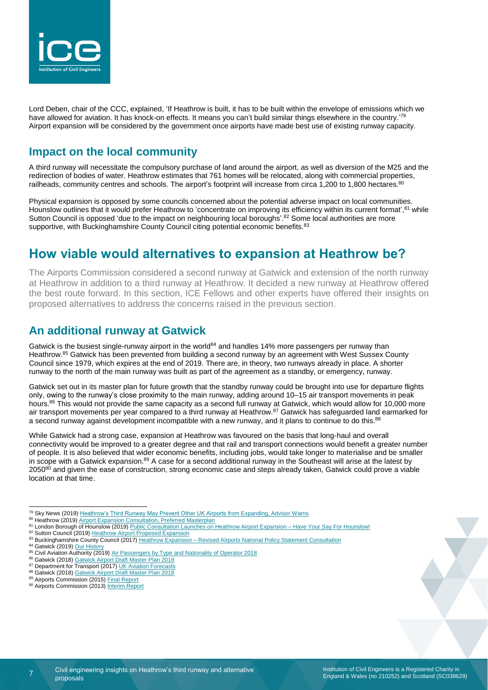

Lord Deben, chair of the CCC, explained, 'If Heathrow is built, it has to be built within the envelope of emissions which we have allowed for aviation. It has knock-on effects. It means you can't build similar things elsewhere in the country.'<sup>79</sup> Airport expansion will be considered by the government once airports have made best use of existing runway capacity.

#### **Impact on the local community**

A third runway will necessitate the compulsory purchase of land around the airport, as well as diversion of the M25 and the redirection of bodies of water. Heathrow estimates that 761 homes will be relocated, along with commercial properties, railheads, community centres and schools. The airport's footprint will increase from circa 1,200 to 1,800 hectares.<sup>80</sup>

Physical expansion is opposed by some councils concerned about the potential adverse impact on local communities. Hounslow outlines that it would prefer Heathrow to 'concentrate on improving its efficiency within its current format',<sup>81</sup> while Sutton Council is opposed 'due to the impact on neighbouring local boroughs'.<sup>82</sup> Some local authorities are more supportive, with Buckinghamshire County Council citing potential economic benefits.<sup>83</sup>

## **How viable would alternatives to expansion at Heathrow be?**

The Airports Commission considered a second runway at Gatwick and extension of the north runway at Heathrow in addition to a third runway at Heathrow. It decided a new runway at Heathrow offered the best route forward. In this section, ICE Fellows and other experts have offered their insights on proposed alternatives to address the concerns raised in the previous section.

#### **An additional runway at Gatwick**

Gatwick is the busiest single-runway airport in the world<sup>84</sup> and handles 14% more passengers per runway than Heathrow.<sup>85</sup> Gatwick has been prevented from building a second runway by an agreement with West Sussex County Council since 1979, which expires at the end of 2019. There are, in theory, two runways already in place. A shorter runway to the north of the main runway was built as part of the agreement as a standby, or emergency, runway.

Gatwick set out in its master plan for future growth that the standby runway could be brought into use for departure flights only, owing to the runway's close proximity to the main runway, adding around 10–15 air transport movements in peak hours.<sup>86</sup> This would not provide the same capacity as a second full runway at Gatwick, which would allow for 10,000 more air transport movements per year compared to a third runway at Heathrow.<sup>87</sup> Gatwick has safeguarded land earmarked for a second runway against development incompatible with a new runway, and it plans to continue to do this.<sup>88</sup>

While Gatwick had a strong case, expansion at Heathrow was favoured on the basis that long-haul and overall connectivity would be improved to a greater degree and that rail and transport connections would benefit a greater number of people. It is also believed that wider economic benefits, including jobs, would take longer to materialise and be smaller in scope with a Gatwick expansion.<sup>89</sup> A case for a second additional runway in the Southeast will arise at the latest by  $2050<sup>90</sup>$  and given the ease of construction, strong economic case and steps already taken, Gatwick could prove a viable location at that time.

- 81 London Borough of Hounslow (2019) [Public Consultation Launches on Heathrow Airport Expansion –](https://www.hounslow.gov.uk/news/article/786/public_consultation_launches_on_heathrow_airport_expansion_–_have_your_say_for_hounslow) Have Your Say For Hounslow!
- 82 Sutton Council (2019) [Heathrow Airport Proposed Expansion](https://www.sutton.gov.uk/news/article/361/heathrow_airport_proposed_expansion)

l <sup>79</sup> Sky News (2019[\) Heathrow's Third Runway May Prevent Other UK Airports from Expanding, Advisor Warns](https://news.sky.com/story/heathrows-third-runway-may-prevent-other-airports-from-expanding-adviser-warns-11748312)

<sup>80</sup> Heathrow (2019[\) Airport Expansion Consultation, Preferred Masterplan](https://aec.heathrowconsultation.com/wp-content/uploads/sites/5/2019/06/Preferred-Masterplan-Hi-Res.pdf)

<sup>83</sup> Buckinghamshire County Council (2017) Heathrow Expansion – [Revised Airports National Policy Statement Consultation](https://www.buckscc.gov.uk/media/4510312/bcc-leader-response-to-nps-2-consultation.pdf)

<sup>84</sup> Gatwick (2019[\) Our History](https://www.gatwickairport.com/business-community/about-gatwick/company-information/our-history/)

<sup>85</sup> Civil Aviation Authority (2019[\) Air Passengers by Type and Nationality of Operator 2018](http://www.caa.co.uk/uploadedFiles/CAA/Content/Standard_Content/Data_and_analysis/Datasets/Airport_stats/Airport_data_2018_annual/Table_08_Air_Pax_by_Type_and_Nat_of_Op.pdf)

<sup>86</sup> Gatwick (2018[\) Gatwick Airport Draft Master Plan 2018](https://www.gatwickairport.com/globalassets/business--community/growing-gatwick/gatwick-draft-master-plan-final.pdf)

<sup>87</sup> Department for Transport (2017[\) UK Aviation Forecasts](https://assets.publishing.service.gov.uk/government/uploads/system/uploads/attachment_data/file/781281/uk-aviation-forecasts-2017.pdf)

<sup>88</sup> Gatwick (2018[\) Gatwick Airport Draft Master Plan 2018](https://www.gatwickairport.com/globalassets/business--community/growing-gatwick/gatwick-draft-master-plan-final.pdf)

<sup>89</sup> Airports Commission (2015) [Final Report](https://assets.publishing.service.gov.uk/government/uploads/system/uploads/attachment_data/file/440316/airports-commission-final-report.pdf)

<sup>90</sup> Airports Commission (2013) [Interim Report](https://assets.publishing.service.gov.uk/government/uploads/system/uploads/attachment_data/file/271231/airports-commission-interim-report.pdf)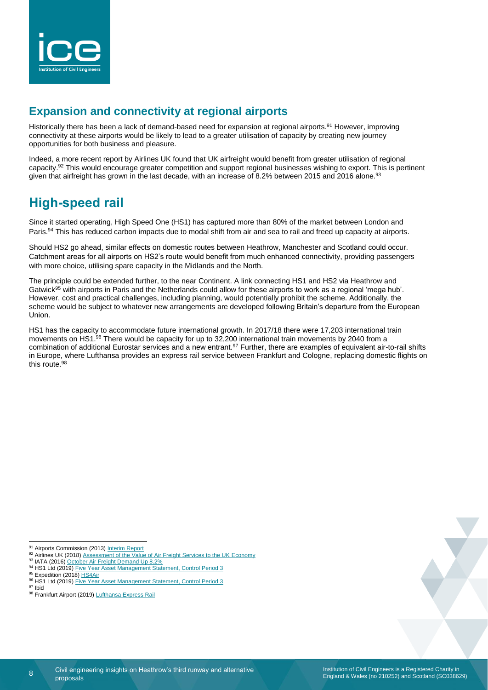

#### **Expansion and connectivity at regional airports**

Historically there has been a lack of demand-based need for expansion at regional airports.<sup>91</sup> However, improving connectivity at these airports would be likely to lead to a greater utilisation of capacity by creating new journey opportunities for both business and pleasure.

Indeed, a more recent report by Airlines UK found that UK airfreight would benefit from greater utilisation of regional capacity. <sup>92</sup> This would encourage greater competition and support regional businesses wishing to export. This is pertinent given that airfreight has grown in the last decade, with an increase of 8.2% between 2015 and 2016 alone.<sup>93</sup>

## **High-speed rail**

Since it started operating, High Speed One (HS1) has captured more than 80% of the market between London and Paris.<sup>94</sup> This has reduced carbon impacts due to modal shift from air and sea to rail and freed up capacity at airports.

Should HS2 go ahead, similar effects on domestic routes between Heathrow, Manchester and Scotland could occur. Catchment areas for all airports on HS2's route would benefit from much enhanced connectivity, providing passengers with more choice, utilising spare capacity in the Midlands and the North.

The principle could be extended further, to the near Continent. A link connecting HS1 and HS2 via Heathrow and Gatwick<sup>95</sup> with airports in Paris and the Netherlands could allow for these airports to work as a regional 'mega hub'. However, cost and practical challenges, including planning, would potentially prohibit the scheme. Additionally, the scheme would be subject to whatever new arrangements are developed following Britain's departure from the European Union.

HS1 has the capacity to accommodate future international growth. In 2017/18 there were 17,203 international train movements on HS1.<sup>96</sup> There would be capacity for up to 32,200 international train movements by 2040 from a combination of additional Eurostar services and a new entrant.<sup>97</sup> Further, there are examples of equivalent air-to-rail shifts in Europe, where Lufthansa provides an express rail service between Frankfurt and Cologne, replacing domestic flights on this route. 98

l

8

<sup>91</sup> Airports Commission (2013) [Interim Report](https://assets.publishing.service.gov.uk/government/uploads/system/uploads/attachment_data/file/271231/airports-commission-interim-report.pdf)

<sup>92</sup> Airlines UK (2018[\) Assessment of the Value of Air Freight Services to the UK Economy](https://airlinesuk.org/wp-content/uploads/2018/10/Assessment-of-the-value-of-air-freight-services-to-the-UK-economy-Final-Report-v22-Oct-2018-b-SENT.pdf)

<sup>93</sup> IATA (2016[\) October Air Freight Demand Up 8.2%](https://www.iata.org/pressroom/pr/Pages/2016-12-07-02.aspx) 94 HS1 Ltd (2019) [Five Year Asset Management Statement, Control Period 3](https://highspeed1.co.uk/media/n00d1hcw/hs1-ltd-5yams-30-may-2019-final-update-12-july.pdf)

<sup>95</sup> Expedition (2018[\) HS4Air](https://expedition.uk.com/thinking/hs4air-an-m25-for-high-speed-trains/)

<sup>96</sup> HS1 Ltd (2019) [Five Year Asset Management Statement, Control Period 3](https://highspeed1.co.uk/media/n00d1hcw/hs1-ltd-5yams-30-may-2019-final-update-12-july.pdf)

<sup>97</sup> Ibid

<sup>98</sup> Frankfurt Airport (2019) [Lufthansa Express Rail](https://www.frankfurt-airport.com/en/travel/transfer.detail.suffix.html/service/directions/lufthansa-express-rail.html)